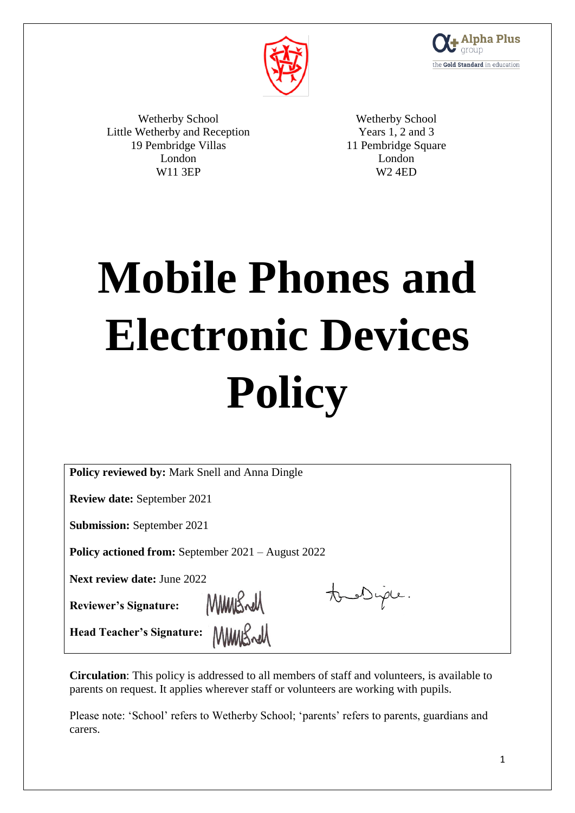



Wetherby School Little Wetherby and Reception 19 Pembridge Villas London W11 3EP

Wetherby School Years 1, 2 and 3 11 Pembridge Square London W2 4ED

# **Mobile Phones and Electronic Devices Policy**

| <b>Policy reviewed by: Mark Snell and Anna Dingle</b> |  |
|-------------------------------------------------------|--|
|-------------------------------------------------------|--|

**Review date:** September 2021

**Submission:** September 2021

**Policy actioned from:** September 2021 – August 2022

MMBrell

MMMBrell

**Next review date:** June 2022

**Reviewer's Signature:** 

tous Duple.

**Head Teacher's Signature:**

**Circulation**: This policy is addressed to all members of staff and volunteers, is available to parents on request. It applies wherever staff or volunteers are working with pupils.

Please note: 'School' refers to Wetherby School; 'parents' refers to parents, guardians and carers.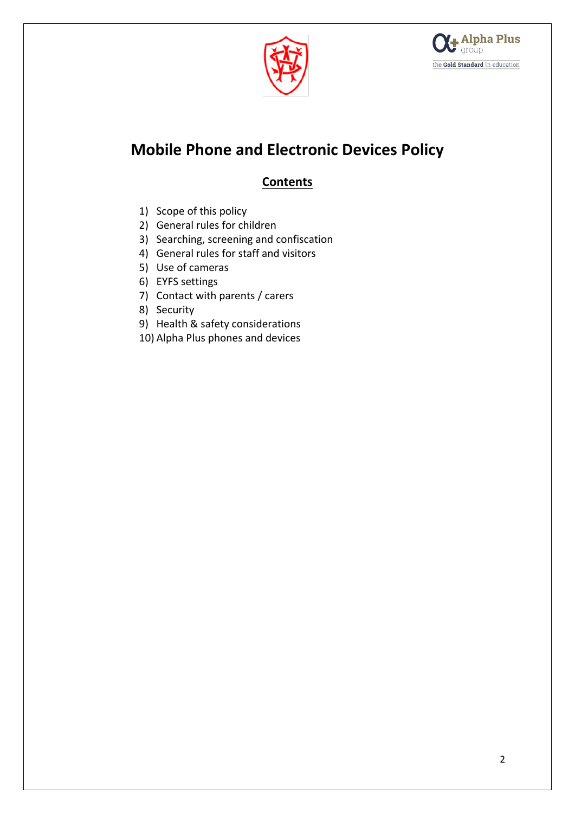



## **Mobile Phone and Electronic Devices Policy**

### **Contents**

- 1) Scope of this policy
- 2) General rules for children
- 3) Searching, screening and confiscation
- 4) General rules for staff and visitors
- 5) Use of cameras
- 6) EYFS settings
- 7) Contact with parents / carers
- 8) Security
- 9) Health & safety considerations
- 10) Alpha Plus phones and devices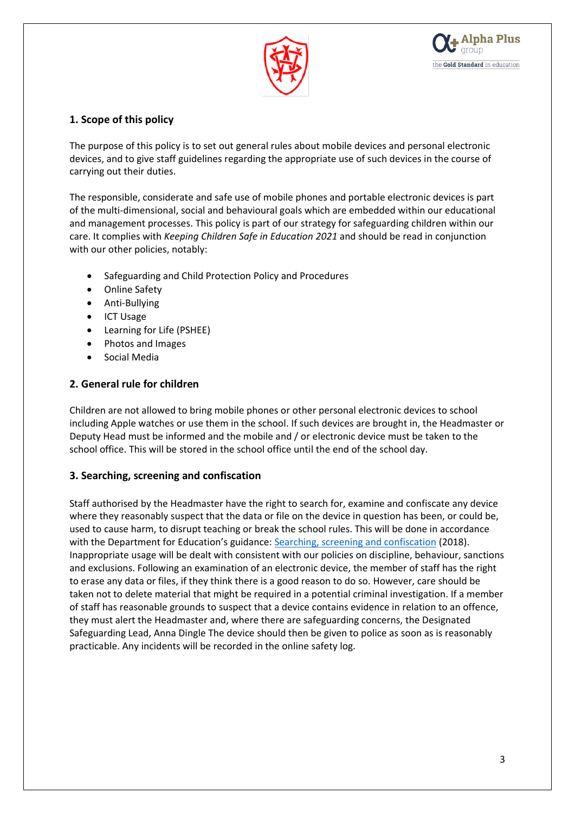



#### **1. Scope of this policy**

The purpose of this policy is to set out general rules about mobile devices and personal electronic devices, and to give staff guidelines regarding the appropriate use of such devices in the course of carrying out their duties.

The responsible, considerate and safe use of mobile phones and portable electronic devices is part of the multi-dimensional, social and behavioural goals which are embedded within our educational and management processes. This policy is part of our strategy for safeguarding children within our care. It complies with *Keeping Children Safe in Education 2021* and should be read in conjunction with our other policies, notably:

- Safeguarding and Child Protection Policy and Procedures
- Online Safety
- Anti-Bullying
- ICT Usage
- Learning for Life (PSHEE)
- Photos and Images
- Social Media

#### **2. General rule for children**

Children are not allowed to bring mobile phones or other personal electronic devices to school including Apple watches or use them in the school. If such devices are brought in, the Headmaster or Deputy Head must be informed and the mobile and / or electronic device must be taken to the school office. This will be stored in the school office until the end of the school day.

#### **3. Searching, screening and confiscation**

Staff authorised by the Headmaster have the right to search for, examine and confiscate any device where they reasonably suspect that the data or file on the device in question has been, or could be, used to cause harm, to disrupt teaching or break the school rules. This will be done in accordance with the Department for Education's guidance: [Searching, screening and confiscation](https://www.gov.uk/government/publications/searching-screening-and-confiscation) (2018). Inappropriate usage will be dealt with consistent with our policies on discipline, behaviour, sanctions and exclusions. Following an examination of an electronic device, the member of staff has the right to erase any data or files, if they think there is a good reason to do so. However, care should be taken not to delete material that might be required in a potential criminal investigation. If a member of staff has reasonable grounds to suspect that a device contains evidence in relation to an offence, they must alert the Headmaster and, where there are safeguarding concerns, the Designated Safeguarding Lead, Anna Dingle The device should then be given to police as soon as is reasonably practicable. Any incidents will be recorded in the online safety log.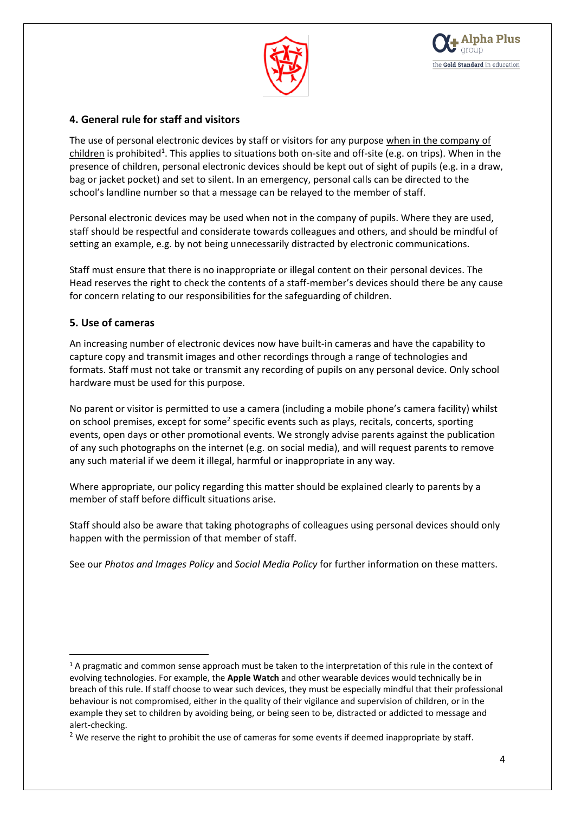



#### **4. General rule for staff and visitors**

The use of personal electronic devices by staff or visitors for any purpose when in the company of children is prohibited<sup>1</sup>. This applies to situations both on-site and off-site (e.g. on trips). When in the presence of children, personal electronic devices should be kept out of sight of pupils (e.g. in a draw, bag or jacket pocket) and set to silent. In an emergency, personal calls can be directed to the school's landline number so that a message can be relayed to the member of staff.

Personal electronic devices may be used when not in the company of pupils. Where they are used, staff should be respectful and considerate towards colleagues and others, and should be mindful of setting an example, e.g. by not being unnecessarily distracted by electronic communications.

Staff must ensure that there is no inappropriate or illegal content on their personal devices. The Head reserves the right to check the contents of a staff-member's devices should there be any cause for concern relating to our responsibilities for the safeguarding of children.

#### **5. Use of cameras**

1

An increasing number of electronic devices now have built-in cameras and have the capability to capture copy and transmit images and other recordings through a range of technologies and formats. Staff must not take or transmit any recording of pupils on any personal device. Only school hardware must be used for this purpose.

No parent or visitor is permitted to use a camera (including a mobile phone's camera facility) whilst on school premises, except for some<sup>2</sup> specific events such as plays, recitals, concerts, sporting events, open days or other promotional events. We strongly advise parents against the publication of any such photographs on the internet (e.g. on social media), and will request parents to remove any such material if we deem it illegal, harmful or inappropriate in any way.

Where appropriate, our policy regarding this matter should be explained clearly to parents by a member of staff before difficult situations arise.

Staff should also be aware that taking photographs of colleagues using personal devices should only happen with the permission of that member of staff.

See our *Photos and Images Policy* and *Social Media Policy* for further information on these matters.

<sup>&</sup>lt;sup>1</sup> A pragmatic and common sense approach must be taken to the interpretation of this rule in the context of evolving technologies. For example, the **Apple Watch** and other wearable devices would technically be in breach of this rule. If staff choose to wear such devices, they must be especially mindful that their professional behaviour is not compromised, either in the quality of their vigilance and supervision of children, or in the example they set to children by avoiding being, or being seen to be, distracted or addicted to message and alert-checking.

<sup>&</sup>lt;sup>2</sup> We reserve the right to prohibit the use of cameras for some events if deemed inappropriate by staff.